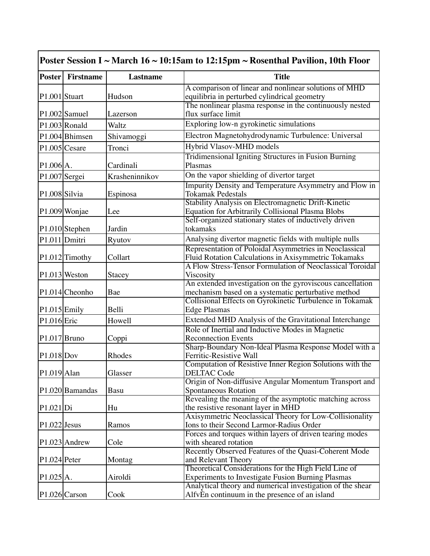|                | <b>Poster</b> Firstname | Lastname       | <b>Title</b>                                                                                   |
|----------------|-------------------------|----------------|------------------------------------------------------------------------------------------------|
|                |                         |                | A comparison of linear and nonlinear solutions of MHD                                          |
| P1.001 Stuart  |                         | Hudson         | equilibria in perturbed cylindrical geometry                                                   |
|                |                         |                | The nonlinear plasma response in the continuously nested                                       |
|                | $P1.002$ Samuel         | Lazerson       | flux surface limit                                                                             |
|                | $P1.003$ Ronald         | Waltz          | Exploring low-n gyrokinetic simulations                                                        |
|                | P1.004 Bhimsen          | Shivamoggi     | Electron Magnetohydrodynamic Turbulence: Universal                                             |
|                | $P1.005$ Cesare         | Tronci         | Hybrid Vlasov-MHD models                                                                       |
|                |                         |                | Tridimensional Igniting Structures in Fusion Burning                                           |
| $P1.006$ A.    |                         | Cardinali      | Plasmas                                                                                        |
|                | P1.007 Sergei           | Krasheninnikov | On the vapor shielding of divertor target                                                      |
|                |                         |                | Impurity Density and Temperature Asymmetry and Flow in                                         |
| P1.008 Silvia  |                         | Espinosa       | <b>Tokamak Pedestals</b>                                                                       |
|                |                         |                | Stability Analysis on Electromagnetic Drift-Kinetic                                            |
|                | P1.009 Wonjae           | Lee            | <b>Equation for Arbitrarily Collisional Plasma Blobs</b>                                       |
|                |                         |                | Self-organized stationary states of inductively driven                                         |
|                | P1.010 Stephen          | Jardin         | tokamaks                                                                                       |
|                | P1.011 Dmitri           | Ryutov         | Analysing divertor magnetic fields with multiple nulls                                         |
|                |                         |                | Representation of Poloidal Asymmetries in Neoclassical                                         |
|                | $P1.012$ Timothy        | Collart        | Fluid Rotation Calculations in Axisymmetric Tokamaks                                           |
|                |                         |                | A Flow Stress-Tensor Formulation of Neoclassical Toroidal                                      |
|                | $P1.013$ Weston         | Stacey         | Viscosity<br>An extended investigation on the gyroviscous cancellation                         |
|                | P1.014 Cheonho          | Bae            | mechanism based on a systematic perturbative method                                            |
|                |                         |                | Collisional Effects on Gyrokinetic Turbulence in Tokamak                                       |
| $P1.015$ Emily |                         | Belli          | <b>Edge Plasmas</b>                                                                            |
| P1.016 Eric    |                         | Howell         | Extended MHD Analysis of the Gravitational Interchange                                         |
|                |                         |                | Role of Inertial and Inductive Modes in Magnetic                                               |
| $P1.017$ Bruno |                         | Coppi          | <b>Reconnection Events</b>                                                                     |
|                |                         |                | Sharp-Boundary Non-Ideal Plasma Response Model with a                                          |
| $P1.018$ Dov   |                         | Rhodes         | Ferritic-Resistive Wall                                                                        |
|                |                         |                | Computation of Resistive Inner Region Solutions with the                                       |
| $P1.019$ Alan  |                         | Glasser        | <b>DELTAC Code</b>                                                                             |
|                |                         |                | Origin of Non-diffusive Angular Momentum Transport and                                         |
|                | P1.020 Bamandas         | Basu           | Spontaneous Rotation                                                                           |
| P1.021 Di      |                         | Hu             | Revealing the meaning of the asymptotic matching across<br>the resistive resonant layer in MHD |
|                |                         |                | Axisymmetric Neoclassical Theory for Low-Collisionality                                        |
| $P1.022$ Jesus |                         | Ramos          | Ions to their Second Larmor-Radius Order                                                       |
|                |                         |                | Forces and torques within layers of driven tearing modes                                       |
|                | $P1.023$ Andrew         | Cole           | with sheared rotation                                                                          |
|                |                         |                | Recently Observed Features of the Quasi-Coherent Mode                                          |
| $P1.024$ Peter |                         | Montag         | and Relevant Theory                                                                            |
|                |                         |                | Theoretical Considerations for the High Field Line of                                          |
| P1.025 A.      |                         | Airoldi        | <b>Experiments to Investigate Fusion Burning Plasmas</b>                                       |
|                |                         |                | Analytical theory and numerical investigation of the shear                                     |
|                | P1.026 Carson           | Cook           | AlfvEn continuum in the presence of an island                                                  |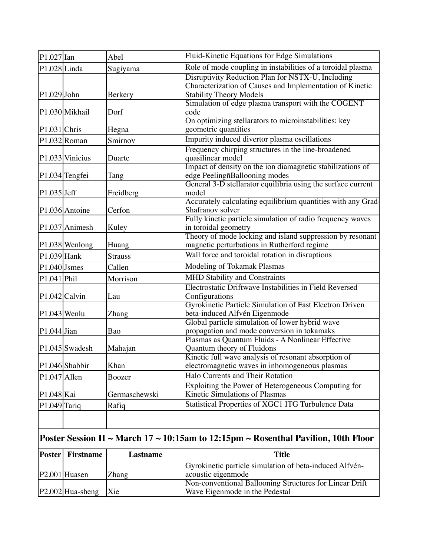| $\vert$ P1.027 $\vert$ Ian |                           | Abel            | Fluid-Kinetic Equations for Edge Simulations                                          |
|----------------------------|---------------------------|-----------------|---------------------------------------------------------------------------------------|
| $P1.028$ Linda             |                           | Sugiyama        | Role of mode coupling in instabilities of a toroidal plasma                           |
|                            |                           |                 | Disruptivity Reduction Plan for NSTX-U, Including                                     |
|                            |                           |                 | Characterization of Causes and Implementation of Kinetic                              |
| $P1.029$ John              |                           | Berkery         | <b>Stability Theory Models</b><br>Simulation of edge plasma transport with the COGENT |
|                            | P1.030 Mikhail            | Dorf            | code                                                                                  |
|                            |                           |                 | On optimizing stellarators to microinstabilities: key                                 |
| $P1.031$ Chris             |                           | Hegna           | geometric quantities                                                                  |
|                            | $P1.032$ Roman            | Smirnov         | Impurity induced divertor plasma oscillations                                         |
|                            |                           |                 | Frequency chirping structures in the line-broadened                                   |
|                            | P1.033 Vinicius           | Duarte          | quasilinear model                                                                     |
|                            |                           |                 | Impact of density on the ion diamagnetic stabilizations of                            |
|                            | P1.034 Tengfei            | Tang            | edge PeelingñBallooning modes                                                         |
|                            |                           |                 | General 3-D stellarator equilibria using the surface current                          |
| $P1.035$ Jeff              |                           | Freidberg       | model                                                                                 |
|                            | P1.036 Antoine            | Cerfon          | Accurately calculating equilibrium quantities with any Grad-<br>Shafranov solver      |
|                            |                           |                 | Fully kinetic particle simulation of radio frequency waves                            |
|                            | P1.037 Animesh            | Kuley           | in toroidal geometry                                                                  |
|                            |                           |                 | Theory of mode locking and island suppression by resonant                             |
|                            | P1.038 Wenlong            | Huang           | magnetic perturbations in Rutherford regime                                           |
| $P1.039$ Hank              |                           | <b>Strauss</b>  | Wall force and toroidal rotation in disruptions                                       |
| $P1.040$ Jsmes             |                           | Callen          | Modeling of Tokamak Plasmas                                                           |
| $P1.041$ $Phi1$            |                           | Morrison        | <b>MHD Stability and Constraints</b>                                                  |
|                            |                           |                 | Electrostatic Driftwave Instabilities in Field Reversed                               |
|                            | P1.042 Calvin             | Lau             | Configurations                                                                        |
|                            |                           |                 | Gyrokinetic Particle Simulation of Fast Electron Driven                               |
| $P1.043$ Wenlu             |                           | Zhang           | beta-induced Alfvén Eigenmode                                                         |
|                            |                           |                 | Global particle simulation of lower hybrid wave                                       |
| $P1.044$ Jian              |                           | Bao             | propagation and mode conversion in tokamaks                                           |
|                            | $P1.045$ Swadesh          | Mahajan         | Plasmas as Quantum Fluids - A Nonlinear Effective                                     |
|                            |                           |                 | Quantum theory of Fluidons<br>Kinetic full wave analysis of resonant absorption of    |
|                            | P1.046 Shabbir            | Khan            | electromagnetic waves in inhomogeneous plasmas                                        |
| $P1.047$  Allen            |                           | Boozer          | Halo Currents and Their Rotation                                                      |
|                            |                           |                 | Exploiting the Power of Heterogeneous Computing for                                   |
| P1.048 Kai                 |                           | Germaschewski   | Kinetic Simulations of Plasmas                                                        |
| $P1.049$ Tariq             |                           | Rafiq           | Statistical Properties of XGC1 ITG Turbulence Data                                    |
|                            |                           |                 |                                                                                       |
|                            |                           |                 |                                                                                       |
|                            |                           |                 | Poster Session II ~ March $17$ ~ 10:15am to 12:15pm ~ Rosenthal Pavilion, 10th Floor  |
| <b>Poster</b>              | <b>Firstname</b>          | <b>Lastname</b> | <b>Title</b>                                                                          |
|                            |                           |                 | Gyrokinetic particle simulation of beta-induced Alfvén-                               |
|                            | P <sub>2.001</sub> Huasen | Zhang           | acoustic eigenmode                                                                    |

Wave Eigenmode in the Pedestal

Non-conventional Ballooning Structures for Linear Drift

 $|P2.002|$ Hua-sheng  $|Xie|$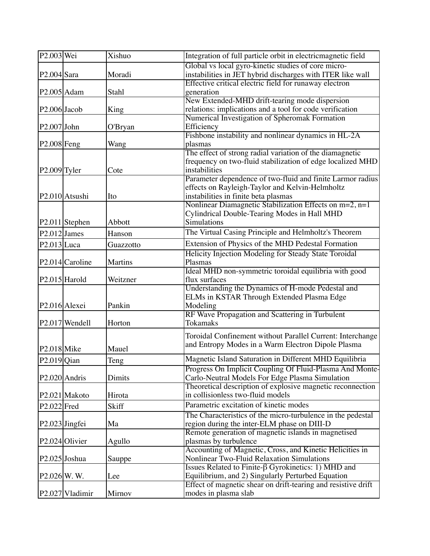| $P2.003$ Wei            |                            | Xishuo         | Integration of full particle orbit in electricmagnetic field         |
|-------------------------|----------------------------|----------------|----------------------------------------------------------------------|
|                         |                            |                | Global vs local gyro-kinetic studies of core micro-                  |
| $P2.004$ Sara           |                            | Moradi         | instabilities in JET hybrid discharges with ITER like wall           |
| P <sub>2.005</sub> Adam |                            | Stahl          | Effective critical electric field for runaway electron<br>generation |
|                         |                            |                | New Extended-MHD drift-tearing mode dispersion                       |
| $P2.006$ Jacob          |                            | King           | relations: implications and a tool for code verification             |
|                         |                            |                | Numerical Investigation of Spheromak Formation                       |
| $P2.007$ John           |                            | O'Bryan        | Efficiency                                                           |
|                         |                            |                | Fishbone instability and nonlinear dynamics in HL-2A                 |
| $P2.008$ Feng           |                            | Wang           | plasmas                                                              |
|                         |                            |                | The effect of strong radial variation of the diamagnetic             |
|                         |                            |                | frequency on two-fluid stabilization of edge localized MHD           |
| $P2.009$ Tyler          |                            | Cote           | instabilities                                                        |
|                         |                            |                | Parameter dependence of two-fluid and finite Larmor radius           |
|                         |                            |                | effects on Rayleigh-Taylor and Kelvin-Helmholtz                      |
|                         | P <sub>2.010</sub> Atsushi | Ito            | instabilities in finite beta plasmas                                 |
|                         |                            |                | Nonlinear Diamagnetic Stabilization Effects on $m=2$ , $n=1$         |
|                         |                            |                | Cylindrical Double-Tearing Modes in Hall MHD                         |
|                         | $P2.011$ Stephen           | Abbott         | Simulations                                                          |
| $P2.012$ James          |                            | Hanson         | The Virtual Casing Principle and Helmholtz's Theorem                 |
|                         |                            |                | Extension of Physics of the MHD Pedestal Formation                   |
| $P2.013$ Luca           |                            | Guazzotto      | Helicity Injection Modeling for Steady State Toroidal                |
|                         | $P2.014$ Caroline          | <b>Martins</b> | Plasmas                                                              |
|                         |                            |                | Ideal MHD non-symmetric toroidal equilibria with good                |
|                         | P <sub>2.015</sub> Harold  | Weitzner       | flux surfaces                                                        |
|                         |                            |                | Understanding the Dynamics of H-mode Pedestal and                    |
|                         |                            |                | ELMs in KSTAR Through Extended Plasma Edge                           |
|                         | P <sub>2.016</sub> Alexei  | Pankin         | Modeling                                                             |
|                         |                            |                | RF Wave Propagation and Scattering in Turbulent                      |
|                         | $P2.017$ Wendell           | Horton         | Tokamaks                                                             |
|                         |                            |                |                                                                      |
|                         |                            |                | Toroidal Confinement without Parallel Current: Interchange           |
| $P2.018$ Mike           |                            | Mauel          | and Entropy Modes in a Warm Electron Dipole Plasma                   |
| $P2.019$ Qian           |                            | Teng           | Magnetic Island Saturation in Different MHD Equilibria               |
|                         |                            |                | Progress On Implicit Coupling Of Fluid-Plasma And Monte-             |
|                         | P <sub>2.020</sub> Andris  | <b>Dimits</b>  | Carlo-Neutral Models For Edge Plasma Simulation                      |
|                         |                            |                | Theoretical description of explosive magnetic reconnection           |
|                         | P2.021 Makoto              | Hirota         | in collisionless two-fluid models                                    |
| $P2.022$ Fred           |                            | <b>Skiff</b>   | Parametric excitation of kinetic modes                               |
|                         |                            |                | The Characteristics of the micro-turbulence in the pedestal          |
|                         | $P2.023$ Jingfei           | Ma             | region during the inter-ELM phase on DIII-D                          |
|                         |                            |                | Remote generation of magnetic islands in magnetised                  |
|                         | P <sub>2.024</sub> Olivier | Agullo         | plasmas by turbulence                                                |
|                         |                            |                | Accounting of Magnetic, Cross, and Kinetic Helicities in             |
|                         | P2.025 Joshua              | Sauppe         | <b>Nonlinear Two-Fluid Relaxation Simulations</b>                    |
|                         |                            |                | Issues Related to Finite- $\beta$ Gyrokinetics: 1) MHD and           |
| $P2.026$ W.W.           |                            | Lee            | Equilibrium, and 2) Singularly Perturbed Equation                    |
|                         |                            |                | Effect of magnetic shear on drift-tearing and resistive drift        |
|                         | P2.027 Vladimir            | Mirnov         | modes in plasma slab                                                 |
|                         |                            |                |                                                                      |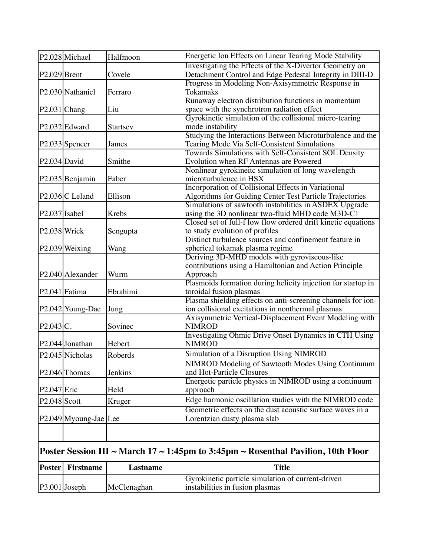|                          | $ P3.001 $ Joseph            | McClenaghan  | Gyrokinetic particle simulation of current-driven<br>instabilities in fusion plasmas                                |
|--------------------------|------------------------------|--------------|---------------------------------------------------------------------------------------------------------------------|
| <b>Poster</b>            | <b>Firstname</b>             | Lastname     | <b>Title</b>                                                                                                        |
|                          |                              |              | Poster Session III ~ March $17 \sim 1:45$ pm to 3:45pm ~ Rosenthal Pavilion, 10th Floor                             |
|                          |                              |              |                                                                                                                     |
|                          | P2.049 Myoung-Jae Lee        |              | Geometric effects on the dust acoustic surface waves in a<br>Lorentzian dusty plasma slab                           |
| $P2.048$ Scott           |                              | Kruger       | Edge harmonic oscillation studies with the NIMROD code                                                              |
| $P2.047$ Eric            |                              | Held         | Energetic particle physics in NIMROD using a continuum<br>approach                                                  |
|                          | P2.046 Thomas                | Jenkins      | NIMROD Modeling of Sawtooth Modes Using Continuum<br>and Hot-Particle Closures                                      |
|                          | P2.045 Nicholas              | Roberds      | Simulation of a Disruption Using NIMROD                                                                             |
|                          | P2.044 Jonathan              | Hebert       | <b>Investigating Ohmic Drive Onset Dynamics in CTH Using</b><br><b>NIMROD</b>                                       |
| P2.043 C.                |                              | Sovinec      | Axisymmetric Vertical-Displacement Event Modeling with<br><b>NIMROD</b>                                             |
|                          | P2.042 Young-Dae             | Jung         | Plasma shielding effects on anti-screening channels for ion-<br>ion collisional excitations in nonthermal plasmas   |
|                          | P2.041 Fatima                | Ebrahimi     | Plasmoids formation during helicity injection for startup in<br>toroidal fusion plasmas                             |
|                          | P <sub>2.040</sub> Alexander | Wurm         | Deriving 3D-MHD models with gyroviscous-like<br>contributions using a Hamiltonian and Action Principle<br>Approach  |
|                          | $P2.039$ Weixing             | Wang         | Distinct turbulence sources and confinement feature in<br>spherical tokamak plasma regime                           |
| P <sub>2.038</sub> Wrick |                              | Sengupta     | Closed set of full-f low flow ordered drift kinetic equations<br>to study evolution of profiles                     |
| $P2.037$ Isabel          |                              | <b>Krebs</b> | Simulations of sawtooth instabilities in ASDEX Upgrade<br>using the 3D nonlinear two-fluid MHD code M3D-C1          |
|                          | $P2.036$ C Leland            | Ellison      | Incorporation of Collisional Effects in Variational<br>Algorithms for Guiding Center Test Particle Trajectories     |
|                          | P2.035 Benjamin              | Faber        | Nonlinear gyrokineitc simulation of long wavelength<br>microturbulence in HSX                                       |
| P <sub>2.034</sub> David |                              | Smithe       | Towards Simulations with Self-Consistent SOL Density<br>Evolution when RF Antennas are Powered                      |
|                          | $ P2.033 $ Spencer           | James        | Studying the Interactions Between Microturbulence and the<br>Tearing Mode Via Self-Consistent Simulations           |
|                          | P <sub>2.032</sub> Edward    | Startsev     | Gyrokinetic simulation of the collisional micro-tearing<br>mode instability                                         |
| $P2.031$ Chang           |                              | Liu          | Runaway electron distribution functions in momentum<br>space with the synchrotron radiation effect                  |
|                          | P2.030 Nathaniel             | Ferraro      | Progress in Modeling Non-Axisymmetric Response in<br><b>Tokamaks</b>                                                |
| $P2.029$ Brent           |                              | Covele       | Investigating the Effects of the X-Divertor Geometry on<br>Detachment Control and Edge Pedestal Integrity in DIII-D |
|                          | P2.028 Michael               | Halfmoon     | Energetic Ion Effects on Linear Tearing Mode Stability                                                              |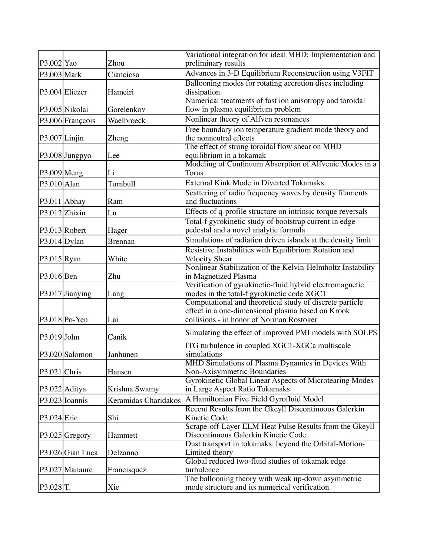|                          |                    |                      | Variational integration for ideal MHD: Implementation and                                              |
|--------------------------|--------------------|----------------------|--------------------------------------------------------------------------------------------------------|
| P3.002 Yao               |                    | Zhou                 | preliminary results                                                                                    |
| P3.003 Mark              |                    | Cianciosa            | Advances in 3-D Equilibrium Reconstruction using V3FIT                                                 |
|                          |                    |                      | Ballooning modes for rotating accretion discs including                                                |
|                          | P3.004 Eliezer     | Hameiri              | dissipation                                                                                            |
|                          |                    |                      | Numerical treatments of fast ion anisotropy and toroidal                                               |
|                          | P3.005 Nikolai     | Gorelenkov           | flow in plasma equilibrium problem                                                                     |
|                          | P3.006 Françcois   | Waelbroeck           | Nonlinear theory of Alfven resonances                                                                  |
| P3.007 Linjin            |                    | Zheng                | Free boundary ion temperature gradient mode theory and<br>the nonneutral effects                       |
|                          | P3.008 Jungpyo     | Lee                  | The effect of strong toroidal flow shear on MHD<br>equilibrium in a tokamak                            |
| $P3.009$ Meng            |                    | Li                   | Modeling of Continuum Absorption of Alfvenic Modes in a<br><b>Torus</b>                                |
| $P3.010$  Alan           |                    | Turnbull             | External Kink Mode in Diverted Tokamaks                                                                |
|                          |                    |                      | Scattering of radio frequency waves by density filaments                                               |
|                          | $P3.011$ Abhay     | Ram                  | and fluctuations                                                                                       |
|                          | $P3.012$ Zhixin    | Lu                   | Effects of q-profile structure on intrinsic torque reversals                                           |
|                          |                    |                      | Total-f gyrokinetic study of bootstrap current in edge                                                 |
|                          | $P3.013$ Robert    | Hager                | pedestal and a novel analytic formula                                                                  |
| $P3.014$ Dylan           |                    | <b>Brennan</b>       | Simulations of radiation driven islands at the density limit                                           |
|                          |                    |                      | Resistive Instabilities with Equilibrium Rotation and                                                  |
| $P3.015$ <sub>Ryan</sub> |                    | White                | <b>Velocity Shear</b>                                                                                  |
|                          |                    |                      | Nonlinear Stabilization of the Kelvin-Helmholtz Instability                                            |
| $P3.016$ Ben             |                    | Zhu                  | in Magnetized Plasma                                                                                   |
|                          |                    |                      | Verification of gyrokinetic-fluid hybrid electromagnetic                                               |
|                          | $P3.017$ Jianying  | Lang                 | modes in the total-f gyrokinetic code XGC1<br>Computational and theoretical study of discrete particle |
|                          |                    |                      | effect in a one-dimensional plasma based on Krook                                                      |
|                          | $ P3.018 Po-Yen$   | Lai                  | collisions - in honor of Norman Rostoker                                                               |
|                          |                    |                      |                                                                                                        |
| P3.019 John              |                    | Canik                | Simulating the effect of improved PMI models with SOLPS                                                |
|                          |                    |                      | ITG turbulence in coupled XGC1-XGCa multiscale                                                         |
|                          | P3.020 Salomon     | Janhunen             | simulations                                                                                            |
|                          |                    |                      | MHD Simulations of Plasma Dynamics in Devices With                                                     |
| $P3.021$ Chris           |                    | Hansen               | Non-Axisymmetric Boundaries                                                                            |
|                          | P3.022 Aditya      |                      | Gyrokinetic Global Linear Aspects of Microtearing Modes<br>in Large Aspect Ratio Tokamaks              |
|                          |                    | Krishna Swamy        |                                                                                                        |
|                          | P3.023 Ioannis     | Keramidas Charidakos | A Hamiltonian Five Field Gyrofluid Model                                                               |
| $P3.024$ Eric            |                    | Shi                  | Recent Results from the Gkeyll Discontinuous Galerkin<br>Kinetic Code                                  |
|                          |                    |                      | Scrape-off-Layer ELM Heat Pulse Results from the Gkeyll                                                |
|                          | P3.025 Gregory     | Hammett              | Discontinuous Galerkin Kinetic Code                                                                    |
|                          |                    |                      | Dust transport in tokamaks: beyond the Orbital-Motion-                                                 |
|                          | $P3.026$ Gian Luca | Delzanno             | Limited theory                                                                                         |
|                          |                    |                      | Global reduced two-fluid studies of tokamak edge                                                       |
|                          | P3.027 Manaure     | Francisquez          | turbulence                                                                                             |
|                          |                    |                      | The ballooning theory with weak up-down asymmetric                                                     |
| P3.028 <sub>T</sub> .    |                    | Xie                  | mode structure and its numerical verification                                                          |